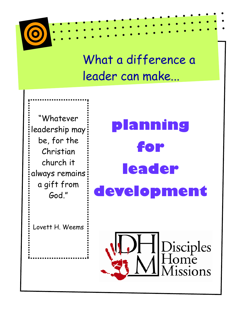

# What a difference a leader can make...

"Whatever leadership may be, for the Christian church it always remains a gift from God."

**planning for leader development** 

Lovett H. Weems

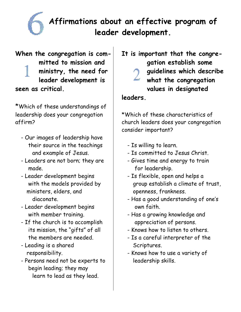

# **Affirmations about an effective program of leader development.**

**When the congregation is committed to mission and ministry, the need for leader development is seen as critical.** 

\*Which of these understandings of leadership does your congregation affirm?

- Our images of leadership have their source in the teachings and example of Jesus.
- Leaders are not born; they are made.
- Leader development begins with the models provided by ministers, elders, and diaconate.
- Leader development begins with member training.
- If the church is to accomplish its mission, the "gifts" of all the members are needed.
- Leading is a shared responsibility.
- Persons need not be experts to begin leading; they may learn to lead as they lead.

**It is important that the congregation establish some guidelines which describe what the congregation values in designated** 

#### **leaders.**

\*Which of these characteristics of church leaders does your congregation consider important?

- Is willing to learn.
- Is committed to Jesus Christ.
- Gives time and energy to train for leadership.
- Is flexible, open and helps a group establish a climate of trust, openness, frankness.
- Has a good understanding of one's own faith.
- Has a growing knowledge and appreciation of persons.
- Knows how to listen to others.
- Is a careful interpreter of the Scriptures.
- Knows how to use a variety of leadership skills.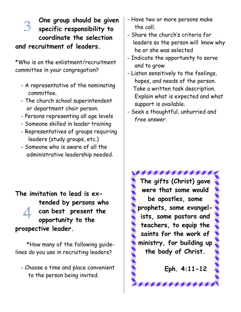**One group should be given specific responsibility to coordinate the selection and recruitment of leaders.** 

\*Who is on the enlistment/recruitment committee in your congregation?

- A representative of the nominating committee.
- The church school superintendent or department chair person.
- Persons representing all age levels
- Someone skilled in leader training
- Representatives of groups requiring leaders (study groups, etc.)
- Someone who is aware of all the administrative leadership needed.
- **The invitation to lead is extended by persons who can best present the opportunity to the prospective leader.**

\*How many of the following guidelines do you use in recruiting leaders?

 - Choose a time and place convenient to the person being invited.

- Have two or more persons make the call.
- Share the church's criteria for leaders so the person will know why he or she was selected
- Indicate the opportunity to serve and to grow
- Listen sensitively to the feelings, hopes, and needs of the person. Take a written task description. Explain what is expected and what support is available.
- Seek a thoughtful, unhurried and free answer.

**ROCK AND REAL PROPERTY The gifts (Christ) gave were that some would be apostles, some prophets, some evangelists, some pastors and teachers, to equip the saints for the work of ministry, for building up the body of Christ.** 

 **Eph. 4:11-12**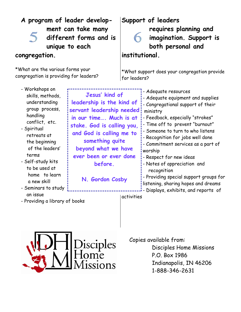| A program of leader develop-<br>ment can take many<br>different forms and is<br>unique to each                                                                                                                                                                              |                                                                                                                                                                                                                                                                 |                | Support of leaders<br>requires planning and<br>imagination. Support is<br>both personal and                                                                                                                                                                                                                                                                                                                                                                                                                |
|-----------------------------------------------------------------------------------------------------------------------------------------------------------------------------------------------------------------------------------------------------------------------------|-----------------------------------------------------------------------------------------------------------------------------------------------------------------------------------------------------------------------------------------------------------------|----------------|------------------------------------------------------------------------------------------------------------------------------------------------------------------------------------------------------------------------------------------------------------------------------------------------------------------------------------------------------------------------------------------------------------------------------------------------------------------------------------------------------------|
| congregation.                                                                                                                                                                                                                                                               |                                                                                                                                                                                                                                                                 | institutional. |                                                                                                                                                                                                                                                                                                                                                                                                                                                                                                            |
| *What are the various forms your<br>congregation is providing for leaders?                                                                                                                                                                                                  |                                                                                                                                                                                                                                                                 | for leaders?   | *What support does your congregation provide                                                                                                                                                                                                                                                                                                                                                                                                                                                               |
| - Workshops on<br>skills, methods,<br>understanding<br>group process,<br>handling<br>conflict, etc.<br>- Spiritual<br>retreats at<br>the beginning<br>of the leaders'<br>terms<br>- Self-study kits<br>to be used at<br>home to learn<br>a new skill<br>- Seminars to study | Jesus' kind of<br>leadership is the kind of<br>servant leadership needed:<br>in our time Much is at<br>stake. God is calling you,<br>and God is calling me to<br>something quite<br>beyond what we have<br>ever been or ever done<br>before.<br>N. Gordon Cosby |                | - Adeguate resources<br>- Adequate equipment and supplies<br>- Congregational support of their<br>ministry<br>- Feedback, especially "strokes"<br>- Time off to prevent "burnout"<br>- Someone to turn to who listens<br>- Recognition for jobs well done<br>- Commitment services as a part of<br>worship<br>- Respect for new ideas<br>- Notes of appreciation and<br>recognition<br>- Providing special support groups for<br>listening, sharing hopes and dreams<br>Displays, exhibits, and reports of |

- an issue
- Providing a library of books

activities



 Copies available from: Disciples Home Missions P.O. Box 1986 Indianapolis, IN 46206 1-888-346-2631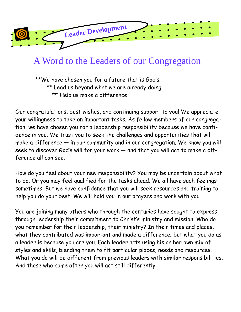

# A Word to the Leaders of our Congregation

\*\*We have chosen you for a future that is God's. \*\* Lead us beyond what we are already doing. \*\* Help us make a difference

Our congratulations, best wishes, and continuing support to you! We appreciate your willingness to take on important tasks. As fellow members of our congregation, we have chosen you for a leadership responsibility because we have confidence in you. We trust you to seek the challenges and opportunities that will make a difference — in our community and in our congregation. We know you will seek to discover God's will for your work — and that you will act to make a difference all can see.

How do you feel about your new responsibility? You may be uncertain about what to do. Or you may feel qualified for the tasks ahead. We all have such feelings sometimes. But we have confidence that you will seek resources and training to help you do your best. We will hold you in our prayers and work with you.

You are joining many others who through the centuries have sought to express through leadership their commitment to Christ's ministry and mission. Who do you remember for their leadership, their ministry? In their times and places, what they contributed was important and made a difference; but what you do as a leader is because you are you. Each leader acts using his or her own mix of styles and skills, blending them to fit particular places, needs and resources. What you do will be different from previous leaders with similar responsibilities. And those who come after you will act still differently.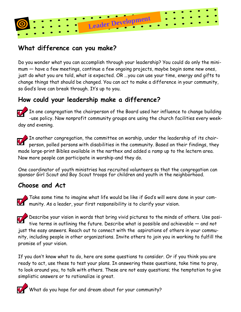

## **What difference can you make?**

Do you wonder what you can accomplish through your leadership? You could do only the minimum — have a few meetings, continue a few ongoing projects, maybe begin some new ones, just do what you are told, what is expected. OR ...you can use your time, energy and gifts to change things that should be changed. You can act to make a difference in your community, so God's love can break through. It's up to you.

## **How could your leadership make a difference?**

In one congregation the chairperson of the Board used her influence to change building -use policy. Now nonprofit community groups are using the church facilities every weekday and evening.

 $\blacktriangleright$  In another congregation, the committee on worship, under the leadership of its chairperson, polled persons with disabilities in the community. Based on their findings, they made large-print Bibles available in the narthex and added a ramp up to the lectern area. Now more people can participate in worship-and they do.

One coordinator of youth ministries has recruited volunteers so that the congregation can sponsor Girl Scout and Boy Scout troops for children and youth in the neighborhood.

### **Choose and Act**

Take some time to imagine what life would be like if God's will were done in your community. As a leader, your first responsibility is to clarify your vision.

Describe your vision in words that bring vivid pictures to the minds of others. Use positive terms in outlining the future. Describe what is possible and achievable — and not just the easy answers. Reach out to connect with the aspirations of others in your community, including people in other organizations. Invite others to join you in working to fulfill the promise of your vision.

If you don't know what to do, here are some questions to consider. Or if you think you are ready to act, use these to test your plans. In answering these questions, take time to pray, to look around you, to talk with others. These are not easy questions; the temptation to give simplistic answers or to rationalize is great.



What do you hope for and dream about for your community?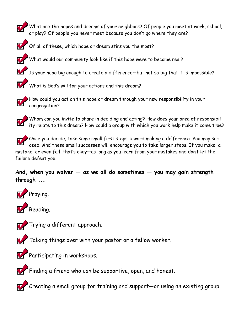What are the hopes and dreams of your neighbors? Of people you meet at work, school, or play? Of people you never meet because you don't go where they are?



Of all of these, which hope or dream stirs you the most?

What would our community look like if this hope were to become real?

Is your hope big enough to create a difference—but not so big that it is impossible?





How could you act on this hope or dream through your new responsibility in your congregation?

Whom can you invite to share in deciding and acting? How does your area of responsibility relate to this dream? How could a group with which you work help make it come true?

Once you decide, take some small first steps toward making a difference. You may succeed! And these small successes will encourage you to take larger steps. If you make a mistake or even fail, that's okay—as long as you learn from your mistakes and don't let the failure defeat you.

#### **And, when you waiver — as we all do sometimes — you may gain strength through ...**





Trying a different approach.



Talking things over with your pastor or a fellow worker.



Participating in workshops.



Finding a friend who can be supportive, open, and honest.

Creating a small group for training and support—or using an existing group.